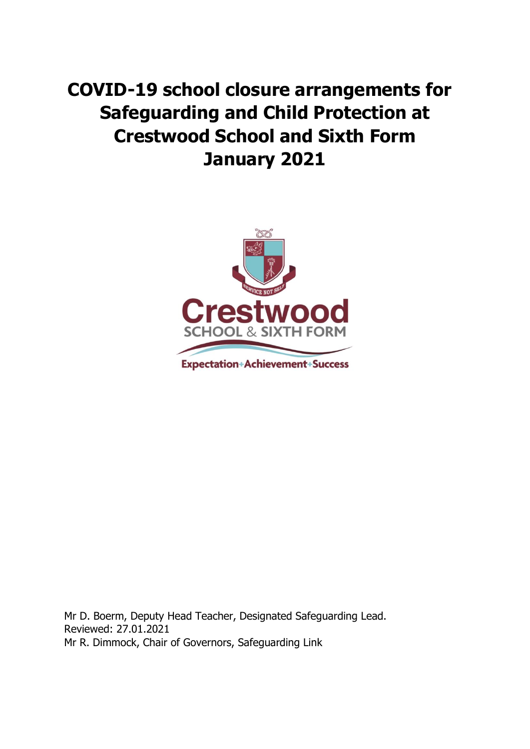# **COVID-19 school closure arrangements for Safeguarding and Child Protection at Crestwood School and Sixth Form January 2021**



Mr D. Boerm, Deputy Head Teacher, Designated Safeguarding Lead. Reviewed: 27.01.2021 Mr R. Dimmock, Chair of Governors, Safeguarding Link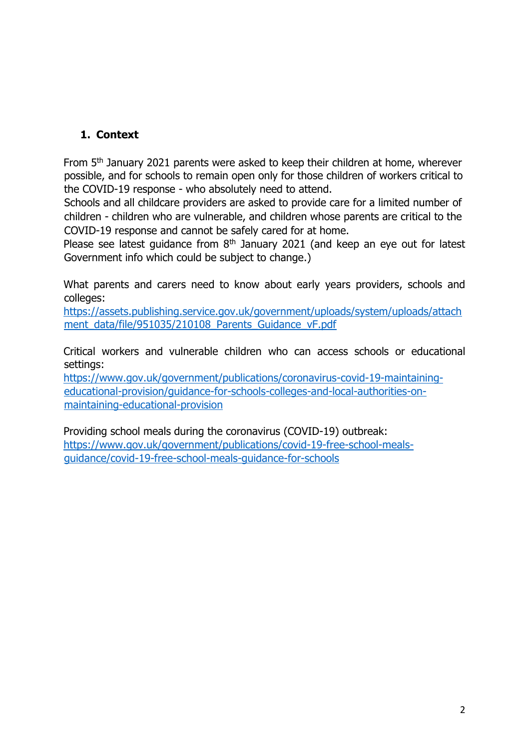## **1. Context**

From 5<sup>th</sup> January 2021 parents were asked to keep their children at home, wherever possible, and for schools to remain open only for those children of workers critical to the COVID-19 response - who absolutely need to attend.

Schools and all childcare providers are asked to provide care for a limited number of children - children who are vulnerable, and children whose parents are critical to the COVID-19 response and cannot be safely cared for at home.

Please see latest guidance from  $8<sup>th</sup>$  January 2021 (and keep an eye out for latest Government info which could be subject to change.)

What parents and carers need to know about early years providers, schools and colleges:

[https://assets.publishing.service.gov.uk/government/uploads/system/uploads/attach](https://assets.publishing.service.gov.uk/government/uploads/system/uploads/attachment_data/file/951035/210108_Parents_Guidance_vF.pdf) [ment\\_data/file/951035/210108\\_Parents\\_Guidance\\_vF.pdf](https://assets.publishing.service.gov.uk/government/uploads/system/uploads/attachment_data/file/951035/210108_Parents_Guidance_vF.pdf)

Critical workers and vulnerable children who can access schools or educational settings:

[https://www.gov.uk/government/publications/coronavirus-covid-19-maintaining](https://www.gov.uk/government/publications/coronavirus-covid-19-maintaining-educational-provision/guidance-for-schools-colleges-and-local-authorities-on-maintaining-educational-provision)[educational-provision/guidance-for-schools-colleges-and-local-authorities-on](https://www.gov.uk/government/publications/coronavirus-covid-19-maintaining-educational-provision/guidance-for-schools-colleges-and-local-authorities-on-maintaining-educational-provision)[maintaining-educational-provision](https://www.gov.uk/government/publications/coronavirus-covid-19-maintaining-educational-provision/guidance-for-schools-colleges-and-local-authorities-on-maintaining-educational-provision)

Providing school meals during the coronavirus (COVID-19) outbreak: [https://www.gov.uk/government/publications/covid-19-free-school-meals](https://www.gov.uk/government/publications/covid-19-free-school-meals-guidance/covid-19-free-school-meals-guidance-for-schools)[guidance/covid-19-free-school-meals-guidance-for-schools](https://www.gov.uk/government/publications/covid-19-free-school-meals-guidance/covid-19-free-school-meals-guidance-for-schools)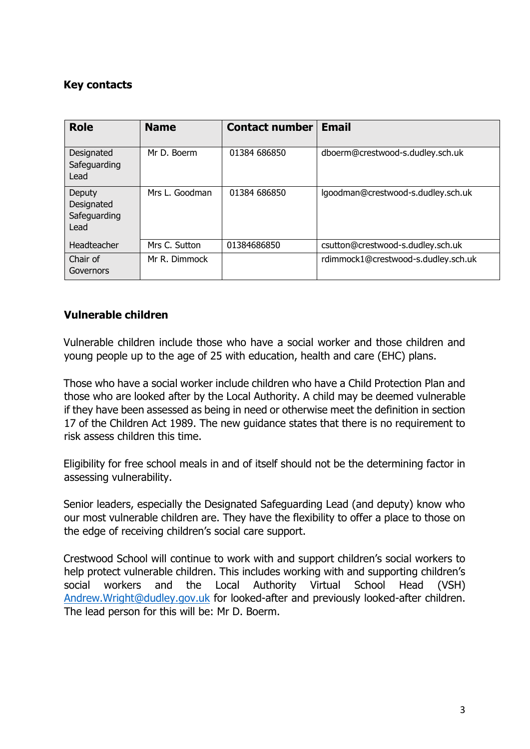## **Key contacts**

| <b>Role</b>                                  | <b>Name</b>    | <b>Contact number</b> | <b>Email</b>                        |
|----------------------------------------------|----------------|-----------------------|-------------------------------------|
| Designated<br>Safeguarding<br>Lead           | Mr D. Boerm    | 01384 686850          | dboerm@crestwood-s.dudley.sch.uk    |
| Deputy<br>Designated<br>Safeguarding<br>Lead | Mrs L. Goodman | 01384 686850          | lgoodman@crestwood-s.dudley.sch.uk  |
| Headteacher                                  | Mrs C. Sutton  | 01384686850           | csutton@crestwood-s.dudley.sch.uk   |
| Chair of<br>Governors                        | Mr R. Dimmock  |                       | rdimmock1@crestwood-s.dudley.sch.uk |

### **Vulnerable children**

Vulnerable children include those who have a social worker and those children and young people up to the age of 25 with education, health and care (EHC) plans.

Those who have a social worker include children who have a Child Protection Plan and those who are looked after by the Local Authority. A child may be deemed vulnerable if they have been assessed as being in need or otherwise meet the definition in section 17 of the Children Act 1989. The new guidance states that there is no requirement to risk assess children this time.

Eligibility for free school meals in and of itself should not be the determining factor in assessing vulnerability.

Senior leaders, especially the Designated Safeguarding Lead (and deputy) know who our most vulnerable children are. They have the flexibility to offer a place to those on the edge of receiving children's social care support.

Crestwood School will continue to work with and support children's social workers to help protect vulnerable children. This includes working with and supporting children's social workers and the Local Authority Virtual School Head (VSH) [Andrew.Wright@dudley.gov.uk](mailto:Andrew.Wright@dudley.gov.uk) for looked-after and previously looked-after children. The lead person for this will be: Mr D. Boerm.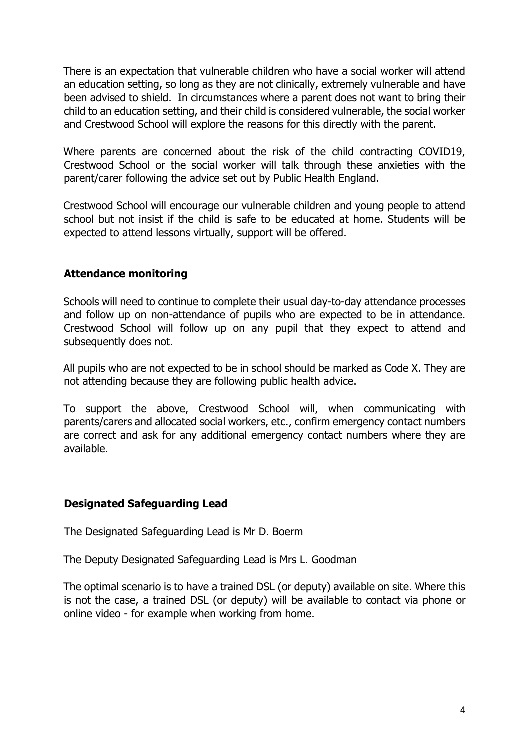There is an expectation that vulnerable children who have a social worker will attend an education setting, so long as they are not clinically, extremely vulnerable and have been advised to shield. In circumstances where a parent does not want to bring their child to an education setting, and their child is considered vulnerable, the social worker and Crestwood School will explore the reasons for this directly with the parent.

Where parents are concerned about the risk of the child contracting COVID19, Crestwood School or the social worker will talk through these anxieties with the parent/carer following the advice set out by Public Health England.

Crestwood School will encourage our vulnerable children and young people to attend school but not insist if the child is safe to be educated at home. Students will be expected to attend lessons virtually, support will be offered.

### **Attendance monitoring**

Schools will need to continue to complete their usual day-to-day attendance processes and follow up on non-attendance of pupils who are expected to be in attendance. Crestwood School will follow up on any pupil that they expect to attend and subsequently does not.

All pupils who are not expected to be in school should be marked as Code X. They are not attending because they are following public health advice.

To support the above, Crestwood School will, when communicating with parents/carers and allocated social workers, etc., confirm emergency contact numbers are correct and ask for any additional emergency contact numbers where they are available.

#### **Designated Safeguarding Lead**

The Designated Safeguarding Lead is Mr D. Boerm

The Deputy Designated Safeguarding Lead is Mrs L. Goodman

The optimal scenario is to have a trained DSL (or deputy) available on site. Where this is not the case, a trained DSL (or deputy) will be available to contact via phone or online video - for example when working from home.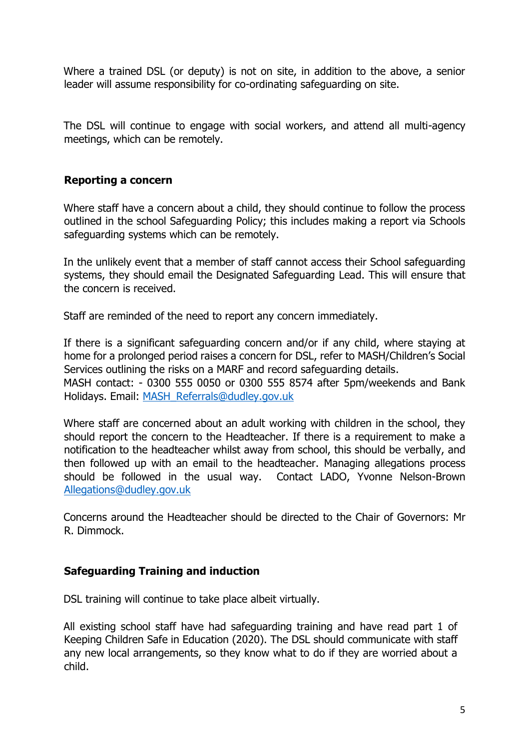Where a trained DSL (or deputy) is not on site, in addition to the above, a senior leader will assume responsibility for co-ordinating safeguarding on site.

The DSL will continue to engage with social workers, and attend all multi-agency meetings, which can be remotely.

### **Reporting a concern**

Where staff have a concern about a child, they should continue to follow the process outlined in the school Safeguarding Policy; this includes making a report via Schools safeguarding systems which can be remotely.

In the unlikely event that a member of staff cannot access their School safeguarding systems, they should email the Designated Safeguarding Lead. This will ensure that the concern is received.

Staff are reminded of the need to report any concern immediately.

If there is a significant safeguarding concern and/or if any child, where staying at home for a prolonged period raises a concern for DSL, refer to MASH/Children's Social Services outlining the risks on a MARF and record safeguarding details.

MASH contact: - 0300 555 0050 or 0300 555 8574 after 5pm/weekends and Bank Holidays. Email: [MASH\\_Referrals@dudley.gov.uk](mailto:MASH_Referrals@dudley.gov.uk)

Where staff are concerned about an adult working with children in the school, they should report the concern to the Headteacher. If there is a requirement to make a notification to the headteacher whilst away from school, this should be verbally, and then followed up with an email to the headteacher. Managing allegations process should be followed in the usual way. Contact LADO, Yvonne Nelson-Brown [Allegations@dudley.gov.uk](mailto:Allegations@dudley.gov.uk)

Concerns around the Headteacher should be directed to the Chair of Governors: Mr R. Dimmock.

#### **Safeguarding Training and induction**

DSL training will continue to take place albeit virtually.

All existing school staff have had safeguarding training and have read part 1 of Keeping Children Safe in Education (2020). The DSL should communicate with staff any new local arrangements, so they know what to do if they are worried about a child.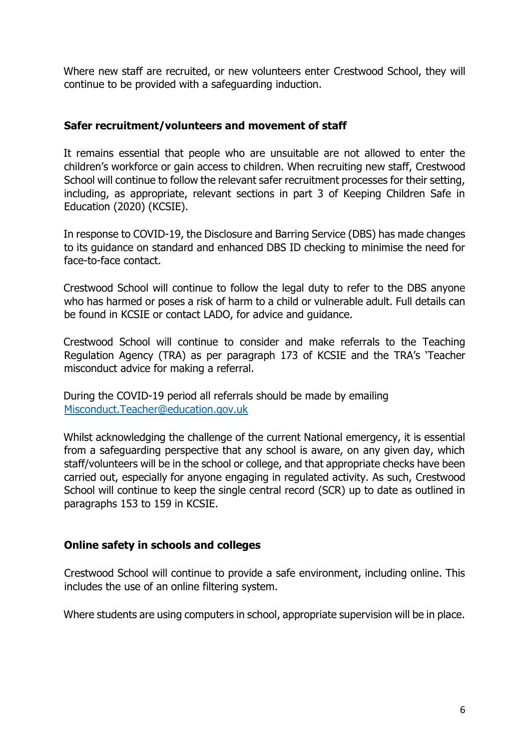Where new staff are recruited, or new volunteers enter Crestwood School, they will continue to be provided with a safeguarding induction.

#### **Safer recruitment/volunteers and movement of staff**

It remains essential that people who are unsuitable are not allowed to enter the children's workforce or gain access to children. When recruiting new staff, Crestwood School will continue to follow the relevant safer recruitment processes for their setting, including, as appropriate, relevant sections in part 3 of Keeping Children Safe in Education (2020) (KCSIE).

In response to COVID-19, the Disclosure and Barring Service (DBS) has made changes to its guidance on standard and enhanced DBS ID checking to minimise the need for face-to-face contact.

Crestwood School will continue to follow the legal duty to refer to the DBS anyone who has harmed or poses a risk of harm to a child or vulnerable adult. Full details can be found in KCSIE or contact LADO, for advice and guidance.

Crestwood School will continue to consider and make referrals to the Teaching Regulation Agency (TRA) as per paragraph 173 of KCSIE and the TRA's 'Teacher misconduct advice for making a referral.

During the COVID-19 period all referrals should be made by emailing Misconduct.Teacher@education.gov.uk

Whilst acknowledging the challenge of the current National emergency, it is essential from a safeguarding perspective that any school is aware, on any given day, which staff/volunteers will be in the school or college, and that appropriate checks have been carried out, especially for anyone engaging in regulated activity. As such, Crestwood School will continue to keep the single central record (SCR) up to date as outlined in paragraphs 153 to 159 in KCSIE.

## **Online safety in schools and colleges**

Crestwood School will continue to provide a safe environment, including online. This includes the use of an online filtering system.

Where students are using computers in school, appropriate supervision will be in place.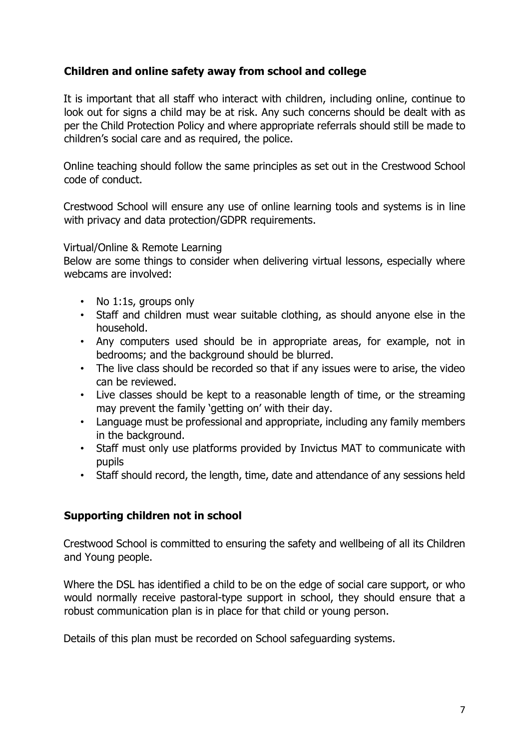## **Children and online safety away from school and college**

It is important that all staff who interact with children, including online, continue to look out for signs a child may be at risk. Any such concerns should be dealt with as per the Child Protection Policy and where appropriate referrals should still be made to children's social care and as required, the police.

Online teaching should follow the same principles as set out in the Crestwood School code of conduct.

Crestwood School will ensure any use of online learning tools and systems is in line with privacy and data protection/GDPR requirements.

#### Virtual/Online & Remote Learning

Below are some things to consider when delivering virtual lessons, especially where webcams are involved:

- No 1:1s, groups only
- Staff and children must wear suitable clothing, as should anyone else in the household.
- Any computers used should be in appropriate areas, for example, not in bedrooms; and the background should be blurred.
- The live class should be recorded so that if any issues were to arise, the video can be reviewed.
- Live classes should be kept to a reasonable length of time, or the streaming may prevent the family 'getting on' with their day.
- Language must be professional and appropriate, including any family members in the background.
- Staff must only use platforms provided by Invictus MAT to communicate with pupils
- Staff should record, the length, time, date and attendance of any sessions held

#### **Supporting children not in school**

Crestwood School is committed to ensuring the safety and wellbeing of all its Children and Young people.

Where the DSL has identified a child to be on the edge of social care support, or who would normally receive pastoral-type support in school, they should ensure that a robust communication plan is in place for that child or young person.

Details of this plan must be recorded on School safeguarding systems.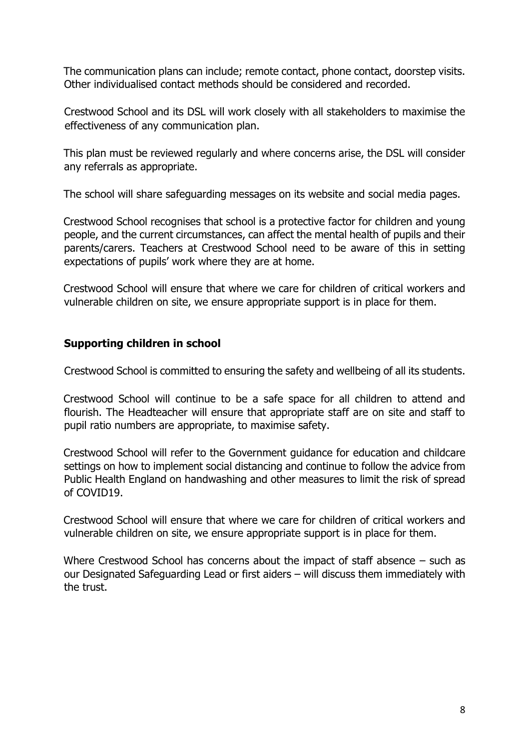The communication plans can include; remote contact, phone contact, doorstep visits. Other individualised contact methods should be considered and recorded.

Crestwood School and its DSL will work closely with all stakeholders to maximise the effectiveness of any communication plan.

This plan must be reviewed regularly and where concerns arise, the DSL will consider any referrals as appropriate.

The school will share safeguarding messages on its website and social media pages.

Crestwood School recognises that school is a protective factor for children and young people, and the current circumstances, can affect the mental health of pupils and their parents/carers. Teachers at Crestwood School need to be aware of this in setting expectations of pupils' work where they are at home.

Crestwood School will ensure that where we care for children of critical workers and vulnerable children on site, we ensure appropriate support is in place for them.

## **Supporting children in school**

Crestwood School is committed to ensuring the safety and wellbeing of all its students.

Crestwood School will continue to be a safe space for all children to attend and flourish. The Headteacher will ensure that appropriate staff are on site and staff to pupil ratio numbers are appropriate, to maximise safety.

Crestwood School will refer to the Government guidance for education and childcare settings on how to implement social distancing and continue to follow the advice from Public Health England on handwashing and other measures to limit the risk of spread of COVID19.

Crestwood School will ensure that where we care for children of critical workers and vulnerable children on site, we ensure appropriate support is in place for them.

Where Crestwood School has concerns about the impact of staff absence – such as our Designated Safeguarding Lead or first aiders – will discuss them immediately with the trust.